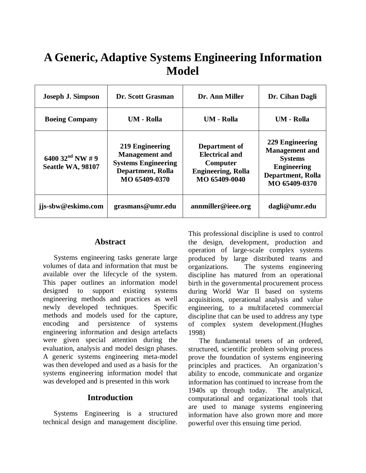# **A Generic, Adaptive Systems Engineering Information Model**

| Joseph J. Simpson                       | Dr. Scott Grasman                                                                                                   | Dr. Ann Miller                                                                                   | Dr. Cihan Dagli                                                                                                               |
|-----------------------------------------|---------------------------------------------------------------------------------------------------------------------|--------------------------------------------------------------------------------------------------|-------------------------------------------------------------------------------------------------------------------------------|
| <b>Boeing Company</b>                   | <b>UM - Rolla</b>                                                                                                   | <b>UM - Rolla</b>                                                                                | <b>UM - Rolla</b>                                                                                                             |
| 6400 $32nd$ NW # 9<br>Seattle WA, 98107 | 219 Engineering<br><b>Management</b> and<br><b>Systems Engineering</b><br><b>Department, Rolla</b><br>MO 65409-0370 | Department of<br><b>Electrical and</b><br>Computer<br><b>Engineering, Rolla</b><br>MO 65409-0040 | 229 Engineering<br><b>Management</b> and<br><b>Systems</b><br><b>Engineering</b><br><b>Department, Rolla</b><br>MO 65409-0370 |
| jjs-sbw@eskimo.com                      | grasmans@umr.edu                                                                                                    | annmiller@ieee.org                                                                               | dagli@umr.edu                                                                                                                 |

### **Abstract**

Systems engineering tasks generate large volumes of data and information that must be available over the lifecycle of the system. This paper outlines an information model designed to support existing systems engineering methods and practices as well newly developed techniques. Specific methods and models used for the capture, encoding and persistence of systems engineering information and design artefacts were given special attention during the evaluation, analysis and model design phases. A generic systems engineering meta-model was then developed and used as a basis for the systems engineering information model that was developed and is presented in this work

### **Introduction**

Systems Engineering is a structured technical design and management discipline. This professional discipline is used to control the design, development, production and operation of large-scale complex systems produced by large distributed teams and organizations. The systems engineering discipline has matured from an operational birth in the governmental procurement process during World War II based on systems acquisitions, operational analysis and value engineering, to a multifaceted commercial discipline that can be used to address any type of complex system development.(Hughes 1998)

The fundamental tenets of an ordered, structured, scientific problem solving process prove the foundation of systems engineering principles and practices. An organization's ability to encode, communicate and organize information has continued to increase from the 1940s up through today. The analytical, computational and organizational tools that are used to manage systems engineering information have also grown more and more powerful over this ensuing time period.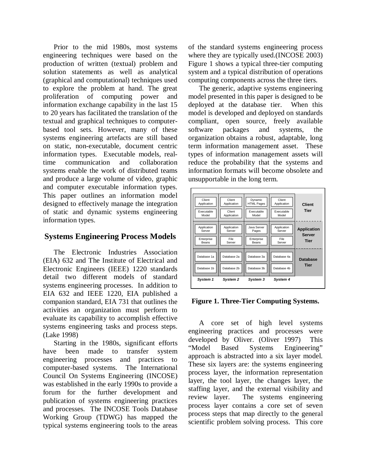Prior to the mid 1980s, most systems engineering techniques were based on the production of written (textual) problem and solution statements as well as analytical (graphical and computational) techniques used to explore the problem at hand. The great proliferation of computing power and information exchange capability in the last 15 to 20 years has facilitated the translation of the textual and graphical techniques to computerbased tool sets. However, many of these systems engineering artefacts are still based on static, non-executable, document centric information types. Executable models, realtime communication and collaboration systems enable the work of distributed teams and produce a large volume of video, graphic and computer executable information types. This paper outlines an information model designed to effectively manage the integration of static and dynamic systems engineering information types.

# **Systems Engineering Process Models**

The Electronic Industries Association (EIA) 632 and The Institute of Electrical and Electronic Engineers (IEEE) 1220 standards detail two different models of standard systems engineering processes. In addition to EIA 632 and IEEE 1220, EIA published a companion standard, EIA 731 that outlines the activities an organization must perform to evaluate its capability to accomplish effective systems engineering tasks and process steps. (Lake 1998)

Starting in the 1980s, significant efforts have been made to transfer system engineering processes and practices to computer-based systems. The International Council On Systems Engineering (INCOSE) was established in the early 1990s to provide a forum for the further development and publication of systems engineering practices and processes. The INCOSE Tools Database Working Group (TDWG) has mapped the typical systems engineering tools to the areas

of the standard systems engineering process where they are typically used.(INCOSE 2003) Figure 1 shows a typical three-tier computing system and a typical distribution of operations computing components across the three tiers.

The generic, adaptive systems engineering model presented in this paper is designed to be deployed at the database tier. When this model is developed and deployed on standards compliant, open source, freely available software packages and systems, the organization obtains a robust, adaptable, long term information management asset. These types of information management assets will reduce the probability that the systems and information formats will become obsolete and unsupportable in the long term.

| Client<br>Application<br>Executable<br>Model | Client<br>Application<br>Client<br>Application | Dynamic<br><b>HTML Pages</b><br>Executable<br>Model | Client<br>Application<br>Executable<br>Model | <b>Client</b><br><b>Tier</b>                |
|----------------------------------------------|------------------------------------------------|-----------------------------------------------------|----------------------------------------------|---------------------------------------------|
| Application<br>Server<br>Enterprise<br>Beans | Application<br>Server<br>File<br>Server        | Java Server<br>Pages<br>Enterprise<br><b>Beans</b>  | Application<br>Server<br>File<br>Server      | <b>Application</b><br><b>Server</b><br>Tier |
| Database 1a<br>Database 1b                   | Database 2a<br>Database 2b                     | Database 3a<br>Database 3b                          | Database 4a<br>Database 4b                   | <b>Database</b><br><b>Tier</b>              |
| System 1                                     | System 2                                       | System 3                                            | System 4                                     |                                             |

**Figure 1. Three-Tier Computing Systems.**

A core set of high level systems engineering practices and processes were developed by Oliver. (Oliver 1997) This "Model Based Systems Engineering" approach is abstracted into a six layer model. These six layers are: the systems engineering process layer, the information representation layer, the tool layer, the changes layer, the staffing layer, and the external visibility and review layer. The systems engineering process layer contains a core set of seven process steps that map directly to the general scientific problem solving process. This core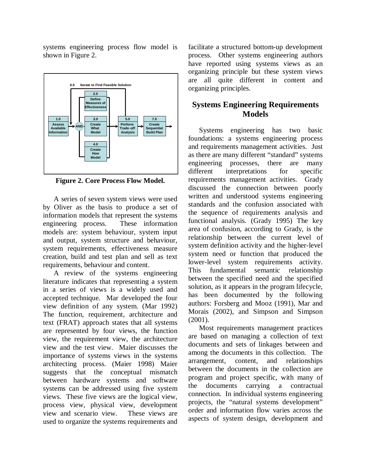systems engineering process flow model is shown in Figure 2.



**Figure 2. Core Process Flow Model.**

A series of seven system views were used by Oliver as the basis to produce a set of information models that represent the systems engineering process. These information models are: system behaviour, system input and output, system structure and behaviour, system requirements, effectiveness measure creation, build and test plan and sell as text requirements, behaviour and content.

A review of the systems engineering literature indicates that representing a system in a series of views is a widely used and accepted technique. Mar developed the four view definition of any system. (Mar 1992) The function, requirement, architecture and text (FRAT) approach states that all systems are represented by four views, the function view, the requirement view, the architecture view and the test view. Maier discusses the importance of systems views in the systems architecting process. (Maier 1998) Maier suggests that the conceptual mismatch between hardware systems and software systems can be addressed using five system views. These five views are the logical view, process view, physical view, development view and scenario view. These views are used to organize the systems requirements and facilitate a structured bottom-up development process. Other systems engineering authors have reported using systems views as an organizing principle but these system views are all quite different in content and organizing principles.

# **Systems Engineering Requirements Models**

Systems engineering has two basic foundations: a systems engineering process and requirements management activities. Just as there are many different "standard" systems engineering processes, there are many different interpretations for specific requirements management activities. Grady discussed the connection between poorly written and understood systems engineering standards and the confusion associated with the sequence of requirements analysis and functional analysis. (Grady 1995) The key area of confusion, according to Grady, is the relationship between the current level of system definition activity and the higher-level system need or function that produced the lower-level system requirements activity. This fundamental semantic relationship between the specified need and the specified solution, as it appears in the program lifecycle, has been documented by the following authors: Forsberg and Mooz (1991), Mar and Morais (2002), and Simpson and Simpson (2001).

Most requirements management practices are based on managing a collection of text documents and sets of linkages between and among the documents in this collection. The arrangement, content, and relationships between the documents in the collection are program and project specific, with many of the documents carrying a contractual connection. In individual systems engineering projects, the "natural systems development" order and information flow varies across the aspects of system design, development and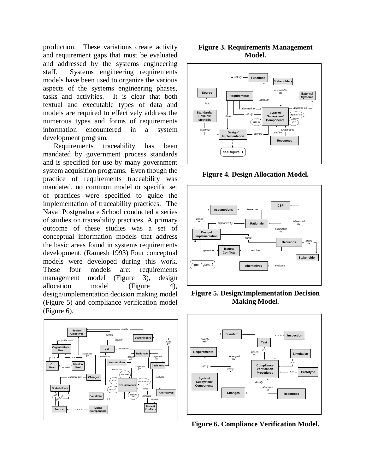production. These variations create activity and requirement gaps that must be evaluated and addressed by the systems engineering staff. Systems engineering requirements models have been used to organize the various aspects of the systems engineering phases, tasks and activities. It is clear that both textual and executable types of data and models are required to effectively address the numerous types and forms of requirements information encountered in a system development program.

Requirements traceability has been mandated by government process standards and is specified for use by many government system acquisition programs. Even though the practice of requirements traceability was mandated, no common model or specific set of practices were specified to guide the implementation of traceability practices. The Naval Postgraduate School conducted a series of studies on traceability practices. A primary outcome of these studies was a set of conceptual information models that address the basic areas found in systems requirements development. (Ramesh 1993) Four conceptual models were developed during this work. These four models are: requirements management model (Figure 3), design allocation model (Figure 4), design/implementation decision making model (Figure 5) and compliance verification model (Figure 6).



#### **Figure 3. Requirements Management Model.**



**Figure 4. Design Allocation Model.**



**Figure 5. Design/Implementation Decision Making Model.**



**Figure 6. Compliance Verification Model.**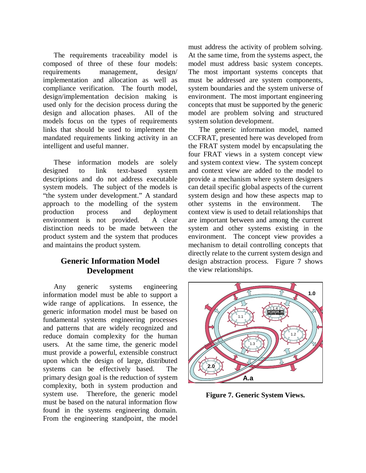The requirements traceability model is composed of three of these four models: requirements management, design/ implementation and allocation as well as compliance verification. The fourth model, design/implementation decision making is used only for the decision process during the design and allocation phases. All of the models focus on the types of requirements links that should be used to implement the mandated requirements linking activity in an intelligent and useful manner.

These information models are solely designed to link text-based system descriptions and do not address executable system models. The subject of the models is "the system under development." A standard approach to the modelling of the system production process and deployment environment is not provided. A clear distinction needs to be made between the product system and the system that produces and maintains the product system.

# **Generic Information Model Development**

Any generic systems engineering information model must be able to support a wide range of applications. In essence, the generic information model must be based on fundamental systems engineering processes and patterns that are widely recognized and reduce domain complexity for the human users. At the same time, the generic model must provide a powerful, extensible construct upon which the design of large, distributed systems can be effectively based. The primary design goal is the reduction of system complexity, both in system production and system use. Therefore, the generic model must be based on the natural information flow found in the systems engineering domain. From the engineering standpoint, the model must address the activity of problem solving. At the same time, from the systems aspect, the model must address basic system concepts. The most important systems concepts that must be addressed are system components, system boundaries and the system universe of environment. The most important engineering concepts that must be supported by the generic model are problem solving and structured system solution development.

The generic information model, named CCFRAT, presented here was developed from the FRAT system model by encapsulating the four FRAT views in a system concept view and system context view. The system concept and context view are added to the model to provide a mechanism where system designers can detail specific global aspects of the current system design and how these aspects map to other systems in the environment. The context view is used to detail relationships that are important between and among the current system and other systems existing in the environment. The concept view provides a mechanism to detail controlling concepts that directly relate to the current system design and design abstraction process. Figure 7 shows the view relationships.



**Figure 7. Generic System Views.**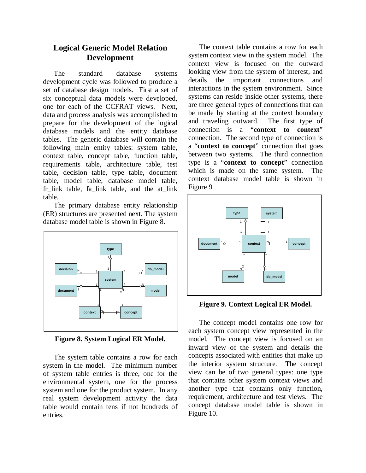# **Logical Generic Model Relation Development**

The standard database systems development cycle was followed to produce a set of database design models. First a set of six conceptual data models were developed, one for each of the CCFRAT views. Next, data and process analysis was accomplished to prepare for the development of the logical database models and the entity database tables. The generic database will contain the following main entity tables: system table, context table, concept table, function table, requirements table, architecture table, test table, decision table, type table, document table, model table, database model table, fr\_link table, fa\_link table, and the at\_link table.

The primary database entity relationship (ER) structures are presented next. The system database model table is shown in Figure 8.



**Figure 8. System Logical ER Model.**

The system table contains a row for each system in the model. The minimum number of system table entries is three, one for the environmental system, one for the process system and one for the product system. In any real system development activity the data table would contain tens if not hundreds of entries.

The context table contains a row for each system context view in the system model. The context view is focused on the outward looking view from the system of interest, and details the important connections and interactions in the system environment. Since systems can reside inside other systems, there are three general types of connections that can be made by starting at the context boundary and traveling outward. The first type of connection is a "**context to context**" connection. The second type of connection is a "**context to concept**" connection that goes between two systems. The third connection type is a "**context to concept**" connection which is made on the same system. The context database model table is shown in Figure 9



**Figure 9. Context Logical ER Model.**

The concept model contains one row for each system concept view represented in the model. The concept view is focused on an inward view of the system and details the concepts associated with entities that make up the interior system structure. The concept view can be of two general types: one type that contains other system context views and another type that contains only function, requirement, architecture and test views. The concept database model table is shown in Figure 10.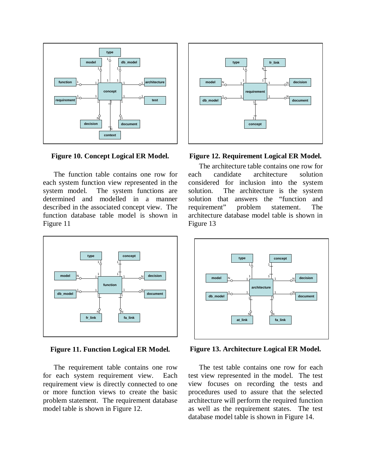

**Figure 10. Concept Logical ER Model.**

The function table contains one row for each system function view represented in the system model. The system functions are determined and modelled in a manner described in the associated concept view. The function database table model is shown in Figure 11



**Figure 11. Function Logical ER Model.**

The requirement table contains one row for each system requirement view. Each requirement view is directly connected to one or more function views to create the basic problem statement. The requirement database model table is shown in Figure 12.



#### **Figure 12. Requirement Logical ER Model.**

The architecture table contains one row for each candidate architecture solution considered for inclusion into the system solution. The architecture is the system solution that answers the "function and requirement" problem statement. The architecture database model table is shown in Figure 13



**Figure 13. Architecture Logical ER Model.**

The test table contains one row for each test view represented in the model. The test view focuses on recording the tests and procedures used to assure that the selected architecture will perform the required function as well as the requirement states. The test database model table is shown in Figure 14.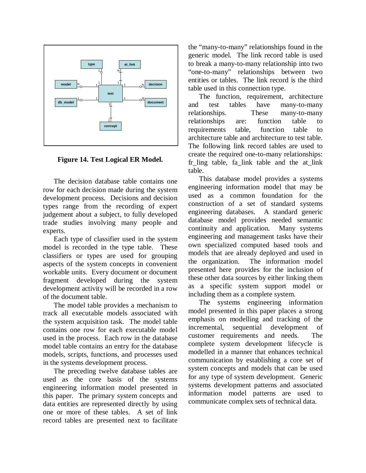

**Figure 14. Test Logical ER Model.**

The decision database table contains one row for each decision made during the system development process. Decisions and decision types range from the recording of expert judgement about a subject, to fully developed trade studies involving many people and experts.

Each type of classifier used in the system model is recorded in the type table. These classifiers or types are used for grouping aspects of the system concepts in convenient workable units. Every document or document fragment developed during the system development activity will be recorded in a row of the document table.

The model table provides a mechanism to track all executable models associated with the system acquisition task. The model table contains one row for each executable model used in the process. Each row in the database model table contains an entry for the database models, scripts, functions, and processes used in the systems development process.

The preceding twelve database tables are used as the core basis of the systems engineering information model presented in this paper. The primary system concepts and data entities are represented directly by using one or more of these tables. A set of link record tables are presented next to facilitate

the "many-to-many" relationships found in the generic model. The link record table is used to break a many-to-many relationship into two "one-to-many" relationships between two entities or tables. The link record is the third table used in this connection type.

The function, requirement, architecture and test tables have many-to-many relationships. These many-to-many relationships are: function table to requirements table, function table to architecture table and architecture to test table. The following link record tables are used to create the required one-to-many relationships: fr ling table, fa\_link table and the at\_link table.

This database model provides a systems engineering information model that may be used as a common foundation for the construction of a set of standard systems engineering databases. A standard generic database model provides needed semantic continuity and application. Many systems engineering and management tasks have their own specialized computed based tools and models that are already deployed and used in the organization. The information model presented here provides for the inclusion of these other data sources by either linking them as a specific system support model or including them as a complete system.

The systems engineering information model presented in this paper places a strong emphasis on modelling and tracking of the incremental, sequential development of customer requirements and needs. The complete system development lifecycle is modelled in a manner that enhances technical communication by establishing a core set of system concepts and models that can be used for any type of system development. Generic systems development patterns and associated information model patterns are used to communicate complex sets of technical data.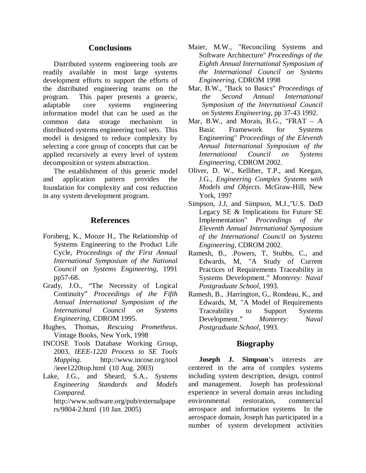### **Conclusions**

Distributed systems engineering tools are readily available in most large systems development efforts to support the efforts of the distributed engineering teams on the program. This paper presents a generic, adaptable core systems engineering information model that can be used as the common data storage mechanism in distributed systems engineering tool sets. This model is designed to reduce complexity by selecting a core group of concepts that can be applied recursively at every level of system decomposition or system abstraction.

The establishment of this generic model and application pattern provides the foundation for complexity and cost reduction in any system development program.

#### **References**

- Forsberg, K., Mooze H., The Relationship of Systems Engineering to the Product Life Cycle, *Proceedings of the First Annual International Symposium of the National Council on Systems Engineering*, 1991 pp57-68.
- Grady, J.O., "The Necessity of Logical Continuity" *Proceedings of the Fifth Annual International Symposium of the International Council on Systems Engineering,* CDROM 1995.
- Hughes, Thomas, *Rescuing Prometheus*. Vintage Books, New York, 1998
- INCOSE Tools Database Working Group, 2003, *IEEE-1220 Process to SE Tools Mapping.* http://www.incose.org/tool /ieee1220top.html (10 Aug. 2003)
- Lake, J.G., and Sheard, S.A., *Systems Engineering Standards and Models Compared.* http://www.software.org/pub/externalpape rs/9804-2.html (10 Jan. 2005)
- Maier, M.W., "Reconciling Systems and Software Architecture" *Proceedings of the Eighth Annual International Symposium of the International Council on Systems Engineering,* CDROM 1998
- Mar, B.W., "Back to Basics" *Proceedings of the Second Annual International Symposium of the International Council on Systems Engineering,* pp 37-43 1992.
- Mar, B.W., and Morais, B.G., "FRAT A Basic Framework for Systems Engineering" *Proceedings of the Eleventh Annual International Symposium of the International Council on Systems Engineering,* CDROM 2002.
- Oliver, D. W., Kelliher, T.P., and Keegan, J.G., *Engineering Complex Systems with Models and Objects*. McGraw-Hill, New York, 1997
- Simpson, J.J, and Simpson, M.J.,"U.S. DoD Legacy SE & Implications for Future SE<br>Implementation" Proceedings of the *Proceedings of the Eleventh Annual International Symposium of the International Council on Systems Engineering,* CDROM 2002.
- Ramesh, B., .Powers, T, Stubbs, C., and Edwards, M, "A Study of Current Practices of Requirements Traceability in Systems Development." *Monterey: Naval Postgraduate School,* 1993.
- Ramesh, B., .Harrington, G,. Rondeau, K., and Edwards, M, "A Model of Requirements Traceability to Support Systems Development." *Monterey: Naval Postgraduate School,* 1993.

#### **Biography**

**Joseph J. Simpson**'s interests are centered in the area of complex systems including system description, design, control and management. Joseph has professional experience in several domain areas including environmental restoration, commercial aerospace and information systems In the aerospace domain, Joseph has participated in a number of system development activities